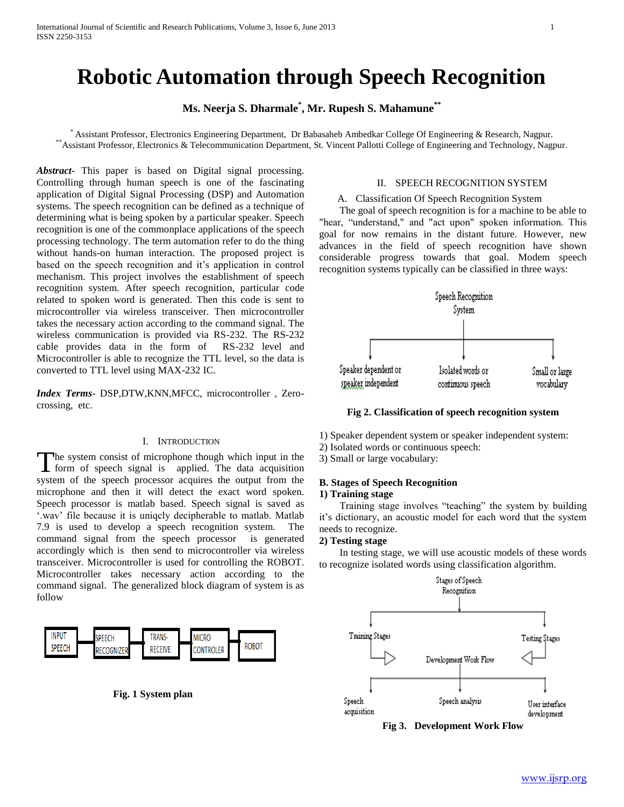# **Robotic Automation through Speech Recognition**

## **Ms. Neerja S. Dharmale\* , Mr. Rupesh S. Mahamune\*\***

\* Assistant Professor, Electronics Engineering Department, Dr Babasaheb Ambedkar College Of Engineering & Research, Nagpur. \*\*Assistant Professor, Electronics & Telecommunication Department, St. Vincent Pallotti College of Engineering and Technology, Nagpur.

*Abstract***-** This paper is based on Digital signal processing. Controlling through human speech is one of the fascinating application of Digital Signal Processing (DSP) and Automation systems. The speech recognition can be defined as a technique of determining what is being spoken by a particular speaker. Speech recognition is one of the commonplace applications of the speech processing technology. The term automation refer to do the thing without hands-on human interaction. The proposed project is based on the speech recognition and it's application in control mechanism. This project involves the establishment of speech recognition system. After speech recognition, particular code related to spoken word is generated. Then this code is sent to microcontroller via wireless transceiver. Then microcontroller takes the necessary action according to the command signal. The wireless communication is provided via RS-232. The RS-232 cable provides data in the form of RS-232 level and Microcontroller is able to recognize the TTL level, so the data is converted to TTL level using MAX-232 IC.

*Index Terms*- DSP,DTW,KNN,MFCC, microcontroller , Zerocrossing, etc.

## I. INTRODUCTION

he system consist of microphone though which input in the The system consist of microphone though which input in the form of speech signal is applied. The data acquisition system of the speech processor acquires the output from the microphone and then it will detect the exact word spoken. Speech processor is matlab based. Speech signal is saved as '.wav' file because it is uniqcly decipherable to matlab. Matlab 7.9 is used to develop a speech recognition system. The command signal from the speech processor is generated accordingly which is then send to microcontroller via wireless transceiver. Microcontroller is used for controlling the ROBOT. Microcontroller takes necessary action according to the command signal. The generalized block diagram of system is as follow



 **Fig. 1 System plan** 

#### II. SPEECH RECOGNITION SYSTEM

## A. Classification Of Speech Recognition System

 The goal of speech recognition is for a machine to be able to "hear, "understand," and "act upon" spoken information. This goal for now remains in the distant future. However, new advances in the field of speech recognition have shown considerable progress towards that goal. Modem speech recognition systems typically can be classified in three ways:



**Fig 2. Classification of speech recognition system**

- 1) Speaker dependent system or speaker independent system:
- 2) Isolated words or continuous speech:
- 3) Small or large vocabulary:

## **B. Stages of Speech Recognition**

#### **1) Training stage**

 Training stage involves "teaching" the system by building it's dictionary, an acoustic model for each word that the system needs to recognize.

#### **2) Testing stage**

 In testing stage, we will use acoustic models of these words to recognize isolated words using classification algorithm.



**Fig 3. Development Work Flow**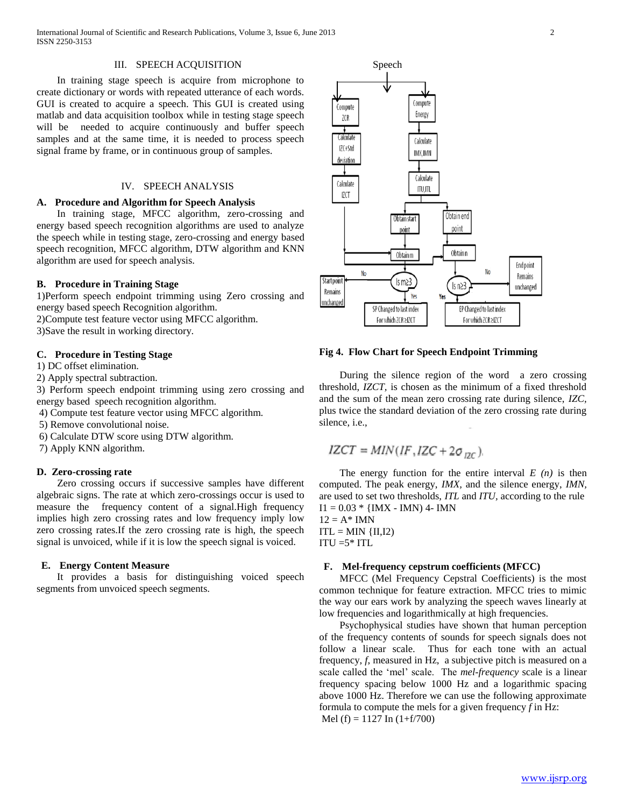#### III. SPEECH ACQUISITION

 In training stage speech is acquire from microphone to create dictionary or words with repeated utterance of each words. GUI is created to acquire a speech. This GUI is created using matlab and data acquisition toolbox while in testing stage speech will be needed to acquire continuously and buffer speech samples and at the same time, it is needed to process speech signal frame by frame, or in continuous group of samples.

## IV. SPEECH ANALYSIS

#### **A. Procedure and Algorithm for Speech Analysis**

 In training stage, MFCC algorithm, zero-crossing and energy based speech recognition algorithms are used to analyze the speech while in testing stage, zero-crossing and energy based speech recognition, MFCC algorithm, DTW algorithm and KNN algorithm are used for speech analysis.

## **B. Procedure in Training Stage**

1)Perform speech endpoint trimming using Zero crossing and energy based speech Recognition algorithm.

2)Compute test feature vector using MFCC algorithm.

3)Save the result in working directory.

## **C. Procedure in Testing Stage**

1) DC offset elimination.

2) Apply spectral subtraction.

3) Perform speech endpoint trimming using zero crossing and energy based speech recognition algorithm.

4) Compute test feature vector using MFCC algorithm.

- 5) Remove convolutional noise.
- 6) Calculate DTW score using DTW algorithm.

7) Apply KNN algorithm.

#### **D. Zero-crossing rate**

 Zero crossing occurs if successive samples have different algebraic signs. The rate at which zero-crossings occur is used to measure the frequency content of a signal.High frequency implies high zero crossing rates and low frequency imply low zero crossing rates.If the zero crossing rate is high, the speech signal is unvoiced, while if it is low the speech signal is voiced.

## **E. Energy Content Measure**

 It provides a basis for distinguishing voiced speech segments from unvoiced speech segments.



## **Fig 4. Flow Chart for Speech Endpoint Trimming**

 During the silence region of the word a zero crossing threshold, *IZCT,* is chosen as the minimum of a fixed threshold and the sum of the mean zero crossing rate during silence, *IZC,*  plus twice the standard deviation of the zero crossing rate during silence, i.e.,

$$
IZCT = MIN(IF, IZC + 2\sigma_{DC})
$$

The energy function for the entire interval  $E(n)$  is then computed. The peak energy, *IMX,* and the silence energy, *IMN,*  are used to set two thresholds, *ITL* and *ITU,* according to the rule  $I1 = 0.03 * \{IMX - IMN\}$  4- IMN

 $12 = A^*$  IMN  $ITL = MIN \{II,I2\}$  $ITU = 5* ITL$ 

## **F. Mel-frequency cepstrum coefficients (MFCC)**

 MFCC (Mel Frequency Cepstral Coefficients) is the most common technique for feature extraction. MFCC tries to mimic the way our ears work by analyzing the speech waves linearly at low frequencies and logarithmically at high frequencies.

 Psychophysical studies have shown that human perception of the frequency contents of sounds for speech signals does not follow a linear scale. Thus for each tone with an actual frequency, *f*, measured in Hz, a subjective pitch is measured on a scale called the 'mel' scale. The *mel-frequency* scale is a linear frequency spacing below 1000 Hz and a logarithmic spacing above 1000 Hz. Therefore we can use the following approximate formula to compute the mels for a given frequency *f* in Hz: Mel (f) = 1127 In  $(1+f/700)$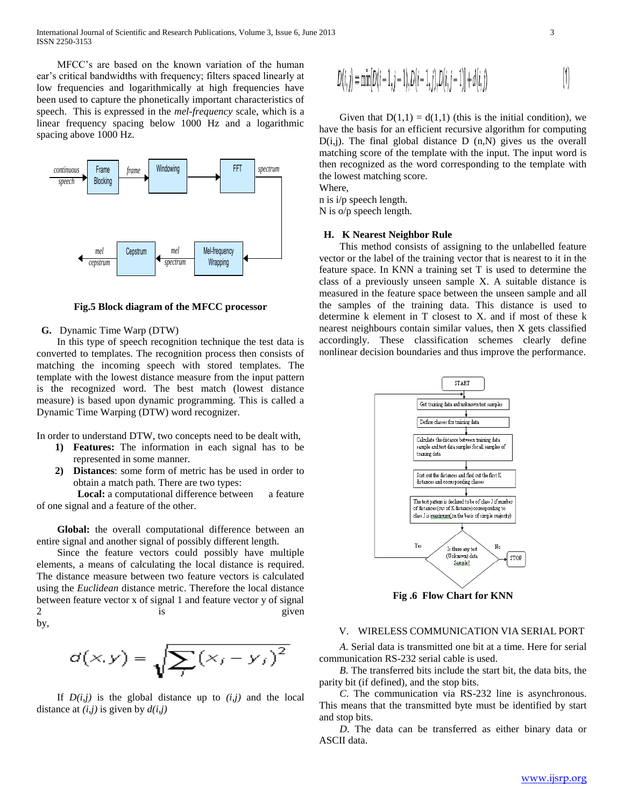International Journal of Scientific and Research Publications, Volume 3, Issue 6, June 2013 3 ISSN 2250-3153

 MFCC's are based on the known variation of the human ear's critical bandwidths with frequency; filters spaced linearly at low frequencies and logarithmically at high frequencies have been used to capture the phonetically important characteristics of speech. This is expressed in the *mel-frequency* scale, which is a linear frequency spacing below 1000 Hz and a logarithmic spacing above 1000 Hz.



**Fig.5 Block diagram of the MFCC processor**

#### **G.** Dynamic Time Warp (DTW)

 In this type of speech recognition technique the test data is converted to templates. The recognition process then consists of matching the incoming speech with stored templates. The template with the lowest distance measure from the input pattern is the recognized word. The best match (lowest distance measure) is based upon dynamic programming. This is called a Dynamic Time Warping (DTW) word recognizer.

In order to understand DTW, two concepts need to be dealt with,

- **1) Features:** The information in each signal has to be represented in some manner.
- **2) Distances**: some form of metric has be used in order to obtain a match path. There are two types:

**Local:** a computational difference between a feature of one signal and a feature of the other.

 **Global:** the overall computational difference between an entire signal and another signal of possibly different length.

 Since the feature vectors could possibly have multiple elements, a means of calculating the local distance is required. The distance measure between two feature vectors is calculated using the *Euclidean* distance metric. Therefore the local distance between feature vector x of signal 1 and feature vector y of signal 2 is is given by,

$$
d(x,y) = \sqrt{\sum_{i} (x_i - y_i)^2}
$$

If  $D(i,j)$  is the global distance up to  $(i,j)$  and the local distance at *(i,j)* is given by *d(i,j)*

$$
D(i, j) = \min[D(i-1, j-1), D(i-1, j), D(i, j-1)] + d(i, j)
$$
\n<sup>(1)</sup>

Given that  $D(1,1) = d(1,1)$  (this is the initial condition), we have the basis for an efficient recursive algorithm for computing  $D(i,j)$ . The final global distance  $D(n,N)$  gives us the overall matching score of the template with the input. The input word is then recognized as the word corresponding to the template with the lowest matching score.

Where, n is i/p speech length.

N is o/p speech length.

## **H. K Nearest Neighbor Rule**

 This method consists of assigning to the unlabelled feature vector or the label of the training vector that is nearest to it in the feature space. In KNN a training set T is used to determine the class of a previously unseen sample X. A suitable distance is measured in the feature space between the unseen sample and all the samples of the training data. This distance is used to determine k element in T closest to X. and if most of these k nearest neighbours contain similar values, then X gets classified accordingly. These classification schemes clearly define nonlinear decision boundaries and thus improve the performance.



**Fig .6 Flow Chart for KNN**

#### V. WIRELESS COMMUNICATION VIA SERIAL PORT

 *A*. Serial data is transmitted one bit at a time. Here for serial communication RS-232 serial cable is used.

 *B*. The transferred bits include the start bit, the data bits, the parity bit (if defined), and the stop bits.

 *C*. The communication via RS-232 line is asynchronous. This means that the transmitted byte must be identified by start and stop bits.

 *D*. The data can be transferred as either binary data or ASCII data.